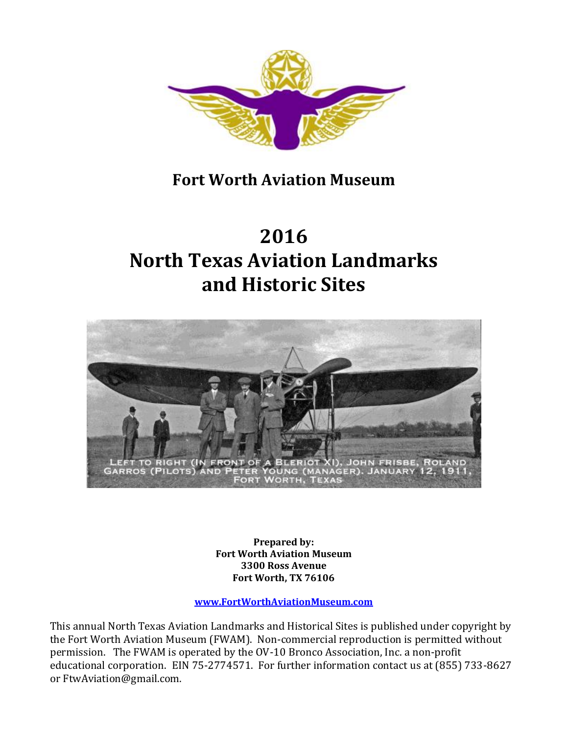

# **Fort Worth Aviation Museum**

# **2016 North Texas Aviation Landmarks and Historic Sites**



**Prepared by: Fort Worth Aviation Museum 3300 Ross Avenue Fort Worth, TX 76106**

**www.FortWorthAviationMuseum.com**

This annual North Texas Aviation Landmarks and Historical Sites is published under copyright by the Fort Worth Aviation Museum (FWAM). Non-commercial reproduction is permitted without permission. The FWAM is operated by the OV-10 Bronco Association, Inc. a non-profit educational corporation. EIN 75-2774571. For further information contact us at (855) 733-8627 or FtwAviation@gmail.com.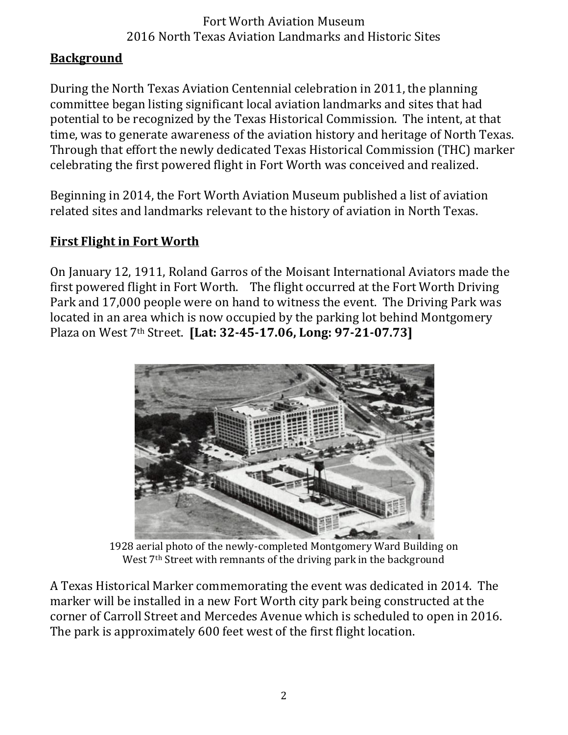#### **Background**

During the North Texas Aviation Centennial celebration in 2011, the planning committee began listing significant local aviation landmarks and sites that had potential to be recognized by the Texas Historical Commission. The intent, at that time, was to generate awareness of the aviation history and heritage of North Texas. Through that effort the newly dedicated Texas Historical Commission (THC) marker celebrating the first powered flight in Fort Worth was conceived and realized.

Beginning in 2014, the Fort Worth Aviation Museum published a list of aviation related sites and landmarks relevant to the history of aviation in North Texas.

# **First Flight in Fort Worth**

On January 12, 1911, Roland Garros of the Moisant International Aviators made the first powered flight in Fort Worth. The flight occurred at the Fort Worth Driving Park and 17,000 people were on hand to witness the event. The Driving Park was located in an area which is now occupied by the parking lot behind Montgomery Plaza on West 7th Street. **[Lat: 32-45-17.06, Long: 97-21-07.73]**



1928 aerial photo of the newly-completed Montgomery Ward Building on West 7<sup>th</sup> Street with remnants of the driving park in the background

A Texas Historical Marker commemorating the event was dedicated in 2014. The marker will be installed in a new Fort Worth city park being constructed at the corner of Carroll Street and Mercedes Avenue which is scheduled to open in 2016. The park is approximately 600 feet west of the first flight location.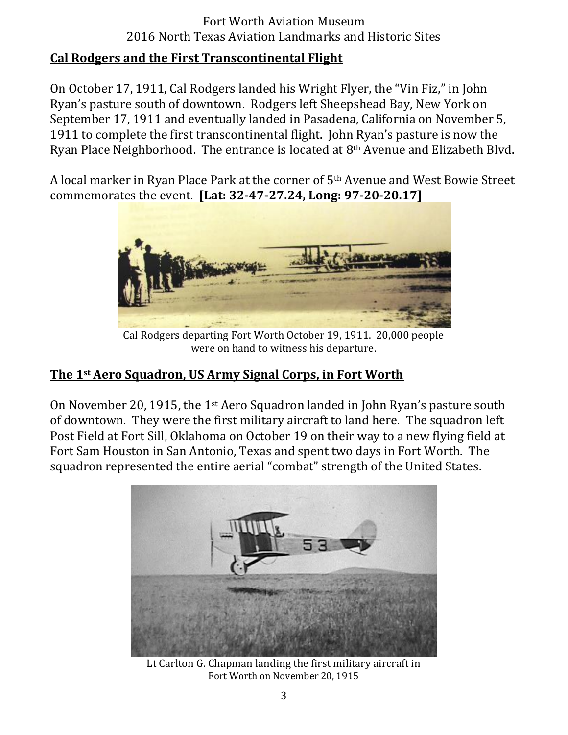#### **Cal Rodgers and the First Transcontinental Flight**

On October 17, 1911, Cal Rodgers landed his Wright Flyer, the "Vin Fiz," in John Ryan's pasture south of downtown. Rodgers left Sheepshead Bay, New York on September 17, 1911 and eventually landed in Pasadena, California on November 5, 1911 to complete the first transcontinental flight. John Ryan's pasture is now the Ryan Place Neighborhood. The entrance is located at 8th Avenue and Elizabeth Blvd.

A local marker in Ryan Place Park at the corner of 5th Avenue and West Bowie Street commemorates the event. **[Lat: 32-47-27.24, Long: 97-20-20.17]**



Cal Rodgers departing Fort Worth October 19, 1911. 20,000 people were on hand to witness his departure.

#### **The 1st Aero Squadron, US Army Signal Corps, in Fort Worth**

On November 20, 1915, the 1<sup>st</sup> Aero Squadron landed in John Ryan's pasture south of downtown. They were the first military aircraft to land here. The squadron left Post Field at Fort Sill, Oklahoma on October 19 on their way to a new flying field at Fort Sam Houston in San Antonio, Texas and spent two days in Fort Worth. The squadron represented the entire aerial "combat" strength of the United States.



Lt Carlton G. Chapman landing the first military aircraft in Fort Worth on November 20, 1915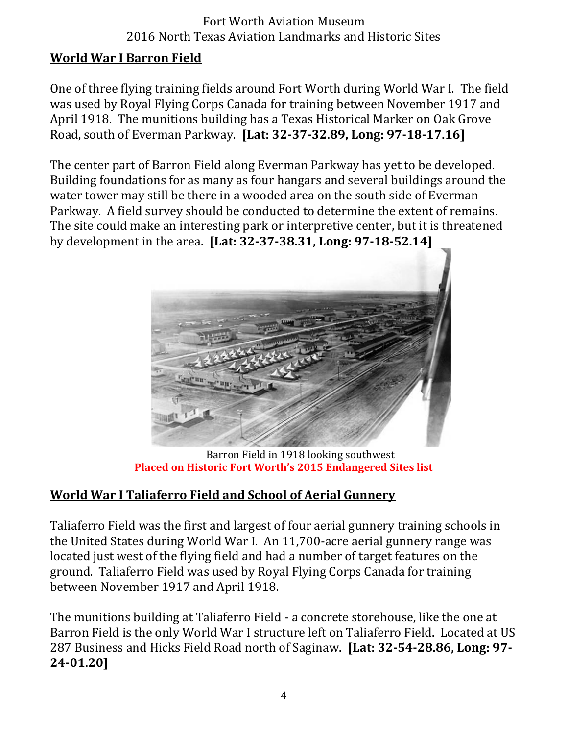#### **World War I Barron Field**

One of three flying training fields around Fort Worth during World War I. The field was used by Royal Flying Corps Canada for training between November 1917 and April 1918. The munitions building has a Texas Historical Marker on Oak Grove Road, south of Everman Parkway. **[Lat: 32-37-32.89, Long: 97-18-17.16]**

The center part of Barron Field along Everman Parkway has yet to be developed. Building foundations for as many as four hangars and several buildings around the water tower may still be there in a wooded area on the south side of Everman Parkway. A field survey should be conducted to determine the extent of remains. The site could make an interesting park or interpretive center, but it is threatened by development in the area. **[Lat: 32-37-38.31, Long: 97-18-52.14]**



Barron Field in 1918 looking southwest **Placed on Historic Fort Worth's 2015 Endangered Sites list** 

#### **World War I Taliaferro Field and School of Aerial Gunnery**

Taliaferro Field was the first and largest of four aerial gunnery training schools in the United States during World War I. An 11,700-acre aerial gunnery range was located just west of the flying field and had a number of target features on the ground. Taliaferro Field was used by Royal Flying Corps Canada for training between November 1917 and April 1918.

The munitions building at Taliaferro Field - a concrete storehouse, like the one at Barron Field is the only World War I structure left on Taliaferro Field. Located at US 287 Business and Hicks Field Road north of Saginaw. **[Lat: 32-54-28.86, Long: 97- 24-01.20]**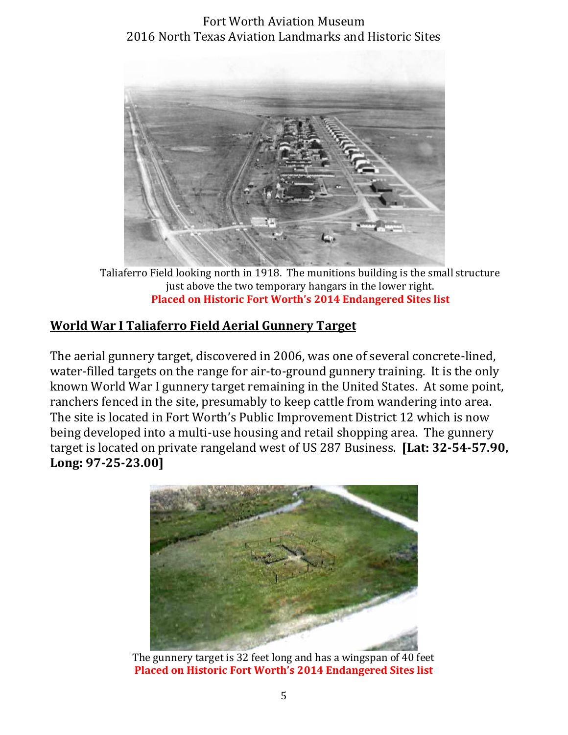

Taliaferro Field looking north in 1918. The munitions building is the small structure just above the two temporary hangars in the lower right. **Placed on Historic Fort Worth's 2014 Endangered Sites list** 

# **World War I Taliaferro Field Aerial Gunnery Target**

The aerial gunnery target, discovered in 2006, was one of several concrete-lined, water-filled targets on the range for air-to-ground gunnery training. It is the only known World War I gunnery target remaining in the United States. At some point, ranchers fenced in the site, presumably to keep cattle from wandering into area. The site is located in Fort Worth's Public Improvement District 12 which is now being developed into a multi-use housing and retail shopping area. The gunnery target is located on private rangeland west of US 287 Business. **[Lat: 32-54-57.90, Long: 97-25-23.00]**



The gunnery target is 32 feet long and has a wingspan of 40 feet **Placed on Historic Fort Worth's 2014 Endangered Sites list**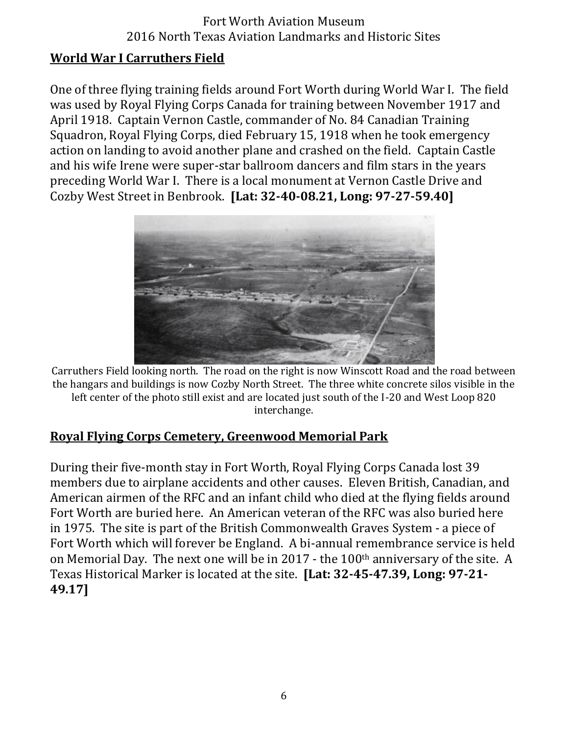#### **World War I Carruthers Field**

One of three flying training fields around Fort Worth during World War I. The field was used by Royal Flying Corps Canada for training between November 1917 and April 1918. Captain Vernon Castle, commander of No. 84 Canadian Training Squadron, Royal Flying Corps, died February 15, 1918 when he took emergency action on landing to avoid another plane and crashed on the field. Captain Castle and his wife Irene were super-star ballroom dancers and film stars in the years preceding World War I. There is a local monument at Vernon Castle Drive and Cozby West Street in Benbrook. **[Lat: 32-40-08.21, Long: 97-27-59.40]**



Carruthers Field looking north. The road on the right is now Winscott Road and the road between the hangars and buildings is now Cozby North Street. The three white concrete silos visible in the left center of the photo still exist and are located just south of the I-20 and West Loop 820 interchange.

#### **Royal Flying Corps Cemetery, Greenwood Memorial Park**

During their five-month stay in Fort Worth, Royal Flying Corps Canada lost 39 members due to airplane accidents and other causes. Eleven British, Canadian, and American airmen of the RFC and an infant child who died at the flying fields around Fort Worth are buried here. An American veteran of the RFC was also buried here in 1975. The site is part of the British Commonwealth Graves System - a piece of Fort Worth which will forever be England. A bi-annual remembrance service is held on Memorial Day. The next one will be in 2017 - the 100<sup>th</sup> anniversary of the site. A Texas Historical Marker is located at the site. **[Lat: 32-45-47.39, Long: 97-21- 49.17]**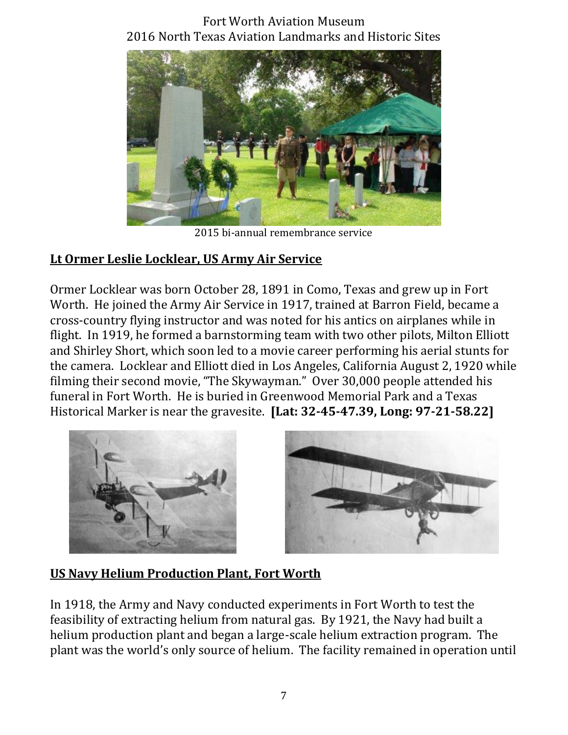

2015 bi-annual remembrance service

## **Lt Ormer Leslie Locklear, US Army Air Service**

Ormer Locklear was born October 28, 1891 in Como, Texas and grew up in Fort Worth. He joined the Army Air Service in 1917, trained at Barron Field, became a cross-country flying instructor and was noted for his antics on airplanes while in flight. In 1919, he formed a barnstorming team with two other pilots, Milton Elliott and Shirley Short, which soon led to a movie career performing his aerial stunts for the camera. Locklear and Elliott died in Los Angeles, California August 2, 1920 while filming their second movie, "The Skywayman." Over 30,000 people attended his funeral in Fort Worth. He is buried in Greenwood Memorial Park and a Texas Historical Marker is near the gravesite. **[Lat: 32-45-47.39, Long: 97-21-58.22]**



#### **US Navy Helium Production Plant, Fort Worth**

In 1918, the Army and Navy conducted experiments in Fort Worth to test the feasibility of extracting helium from natural gas. By 1921, the Navy had built a helium production plant and began a large-scale helium extraction program. The plant was the world's only source of helium. The facility remained in operation until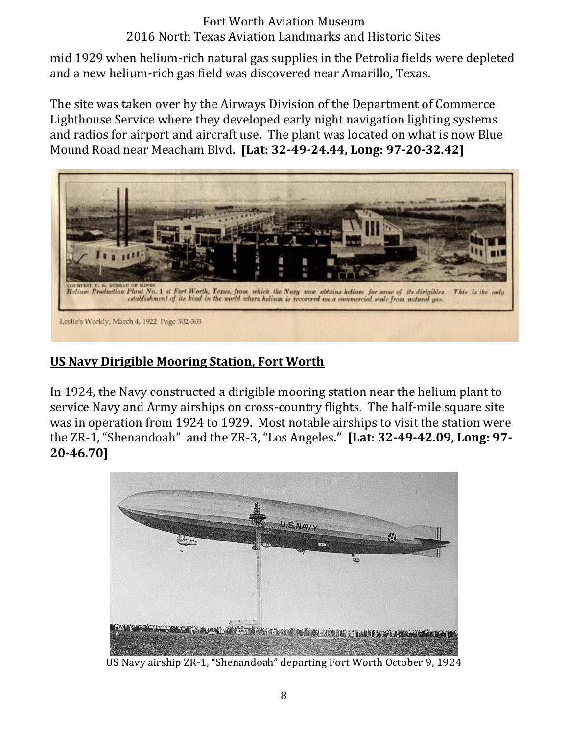mid 1929 when helium-rich natural gas supplies in the Petrolia fields were depleted and a new helium-rich gas field was discovered near Amarillo, Texas.

The site was taken over by the Airways Division of the Department of Commerce Lighthouse Service where they developed early night navigation lighting systems and radios for airport and aircraft use. The plant was located on what is now Blue Mound Road near Meacham Blvd. **[Lat: 32-49-24.44, Long: 97-20-32.42]**



#### **US Navy Dirigible Mooring Station, Fort Worth**

In 1924, the Navy constructed a dirigible mooring station near the helium plant to service Navy and Army airships on cross-country flights. The half-mile square site was in operation from 1924 to 1929. Most notable airships to visit the station were the ZR-1, "Shenandoah" and the ZR-3, "Los Angeles." [Lat: 32-49-42.09, Long: 97-**20-46.70]**



US Navy airship ZR-1, "Shenandoah" departing Fort Worth October 9, 1924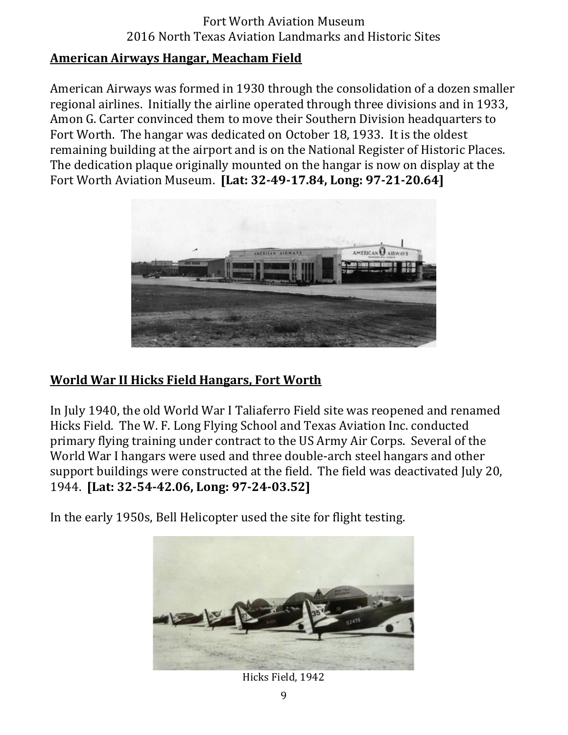#### **American Airways Hangar, Meacham Field**

American Airways was formed in 1930 through the consolidation of a dozen smaller regional airlines. Initially the airline operated through three divisions and in 1933, Amon G. Carter convinced them to move their Southern Division headquarters to Fort Worth. The hangar was dedicated on October 18, 1933. It is the oldest remaining building at the airport and is on the National Register of Historic Places. The dedication plaque originally mounted on the hangar is now on display at the Fort Worth Aviation Museum. **[Lat: 32-49-17.84, Long: 97-21-20.64]**



#### **World War II Hicks Field Hangars, Fort Worth**

In July 1940, the old World War I Taliaferro Field site was reopened and renamed Hicks Field. The W. F. Long Flying School and Texas Aviation Inc. conducted primary flying training under contract to the US Army Air Corps. Several of the World War I hangars were used and three double-arch steel hangars and other support buildings were constructed at the field. The field was deactivated July 20, 1944. **[Lat: 32-54-42.06, Long: 97-24-03.52]**

In the early 1950s, Bell Helicopter used the site for flight testing.



Hicks Field, 1942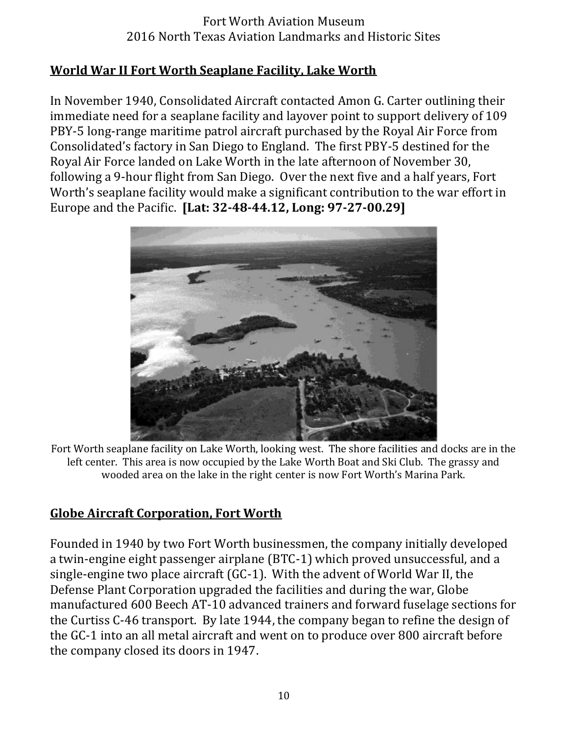#### **World War II Fort Worth Seaplane Facility, Lake Worth**

In November 1940, Consolidated Aircraft contacted Amon G. Carter outlining their immediate need for a seaplane facility and layover point to support delivery of 109 PBY-5 long-range maritime patrol aircraft purchased by the Royal Air Force from Consolidated's factory in San Diego to England. The first PBY-5 destined for the Royal Air Force landed on Lake Worth in the late afternoon of November 30, following a 9-hour flight from San Diego. Over the next five and a half years, Fort Worth's seaplane facility would make a significant contribution to the war effort in Europe and the Pacific. **[Lat: 32-48-44.12, Long: 97-27-00.29]**



Fort Worth seaplane facility on Lake Worth, looking west. The shore facilities and docks are in the left center. This area is now occupied by the Lake Worth Boat and Ski Club. The grassy and wooded area on the lake in the right center is now Fort Worth's Marina Park.

#### **Globe Aircraft Corporation, Fort Worth**

Founded in 1940 by two Fort Worth businessmen, the company initially developed a twin-engine eight passenger airplane (BTC-1) which proved unsuccessful, and a single-engine two place aircraft (GC-1). With the advent of World War II, the Defense Plant Corporation upgraded the facilities and during the war, Globe manufactured 600 Beech AT-10 advanced trainers and forward fuselage sections for the Curtiss C-46 transport. By late 1944, the company began to refine the design of the GC-1 into an all metal aircraft and went on to produce over 800 aircraft before the company closed its doors in 1947.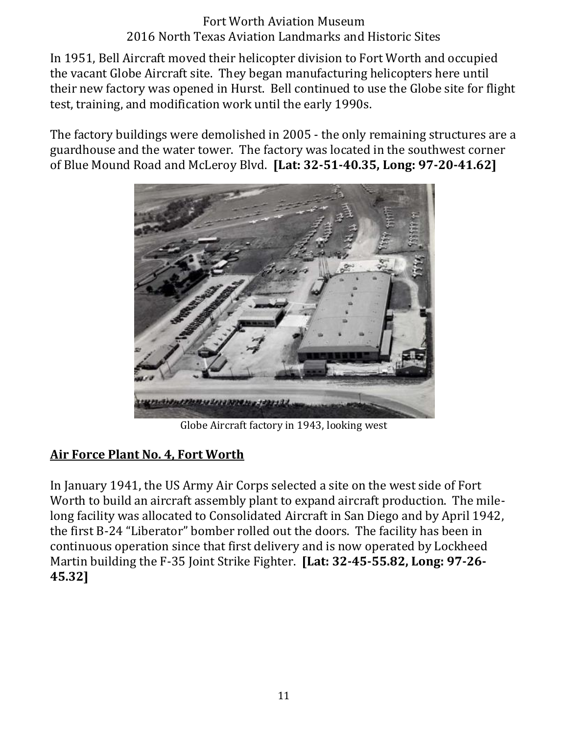In 1951, Bell Aircraft moved their helicopter division to Fort Worth and occupied the vacant Globe Aircraft site. They began manufacturing helicopters here until their new factory was opened in Hurst. Bell continued to use the Globe site for flight test, training, and modification work until the early 1990s.

The factory buildings were demolished in 2005 - the only remaining structures are a guardhouse and the water tower. The factory was located in the southwest corner of Blue Mound Road and McLeroy Blvd. **[Lat: 32-51-40.35, Long: 97-20-41.62]**



Globe Aircraft factory in 1943, looking west

#### **Air Force Plant No. 4, Fort Worth**

In January 1941, the US Army Air Corps selected a site on the west side of Fort Worth to build an aircraft assembly plant to expand aircraft production. The milelong facility was allocated to Consolidated Aircraft in San Diego and by April 1942, the first B-24 "Liberator" bomber rolled out the doors. The facility has been in continuous operation since that first delivery and is now operated by Lockheed Martin building the F-35 Joint Strike Fighter. **[Lat: 32-45-55.82, Long: 97-26- 45.32]**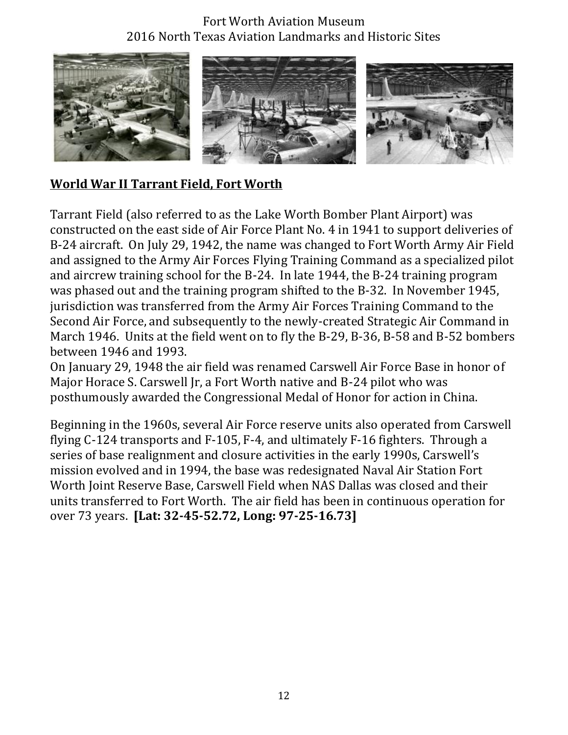

#### **World War II Tarrant Field, Fort Worth**

Tarrant Field (also referred to as the Lake Worth Bomber Plant Airport) was constructed on the east side of Air Force Plant No. 4 in 1941 to support deliveries of B-24 aircraft. On July 29, 1942, the name was changed to Fort Worth Army Air Field and assigned to the Army Air Forces Flying Training Command as a specialized pilot and aircrew training school for the B-24. In late 1944, the B-24 training program was phased out and the training program shifted to the B-32. In November 1945, jurisdiction was transferred from the Army Air Forces Training Command to the Second Air Force, and subsequently to the newly-created Strategic Air Command in March 1946. Units at the field went on to fly the B-29, B-36, B-58 and B-52 bombers between 1946 and 1993.

On January 29, 1948 the air field was renamed Carswell Air Force Base in honor of Major Horace S. Carswell Jr, a Fort Worth native and B-24 pilot who was posthumously awarded the Congressional Medal of Honor for action in China.

Beginning in the 1960s, several Air Force reserve units also operated from Carswell flying C-124 transports and F-105, F-4, and ultimately F-16 fighters. Through a series of base realignment and closure activities in the early 1990s. Carswell's mission evolved and in 1994, the base was redesignated Naval Air Station Fort Worth Joint Reserve Base, Carswell Field when NAS Dallas was closed and their units transferred to Fort Worth. The air field has been in continuous operation for over 73 years. **[Lat: 32-45-52.72, Long: 97-25-16.73]**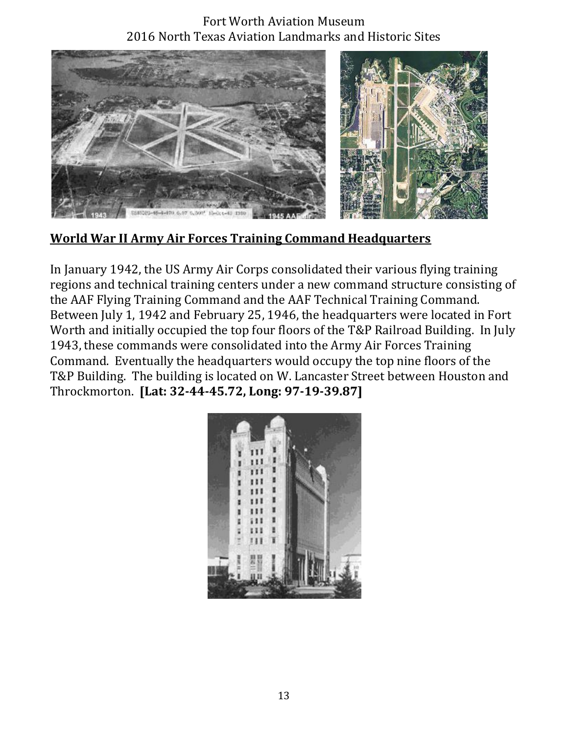

# **World War II Army Air Forces Training Command Headquarters**

In January 1942, the US Army Air Corps consolidated their various flying training regions and technical training centers under a new command structure consisting of the AAF Flying Training Command and the AAF Technical Training Command. Between July 1, 1942 and February 25, 1946, the headquarters were located in Fort Worth and initially occupied the top four floors of the T&P Railroad Building. In July 1943, these commands were consolidated into the Army Air Forces Training Command. Eventually the headquarters would occupy the top nine floors of the T&P Building. The building is located on W. Lancaster Street between Houston and Throckmorton. **[Lat: 32-44-45.72, Long: 97-19-39.87]**